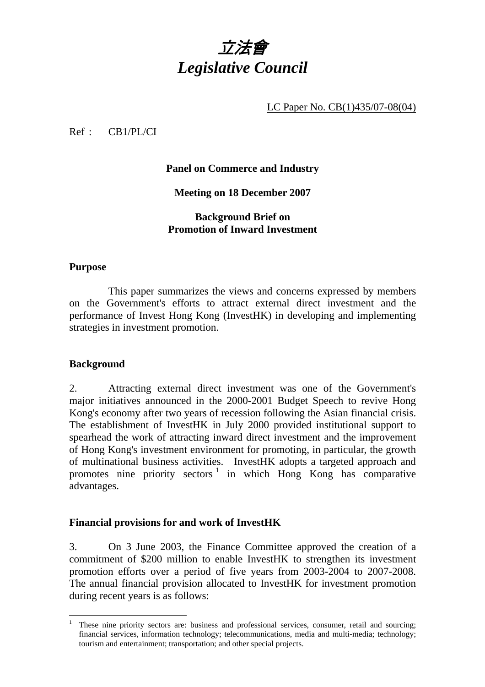

LC Paper No. CB(1)435/07-08(04)

Ref : CB1/PL/CI

# **Panel on Commerce and Industry**

**Meeting on 18 December 2007** 

# **Background Brief on Promotion of Inward Investment**

## **Purpose**

This paper summarizes the views and concerns expressed by members on the Government's efforts to attract external direct investment and the performance of Invest Hong Kong (InvestHK) in developing and implementing strategies in investment promotion.

## **Background**

 $\overline{a}$ 

2. Attracting external direct investment was one of the Government's major initiatives announced in the 2000-2001 Budget Speech to revive Hong Kong's economy after two years of recession following the Asian financial crisis. The establishment of InvestHK in July 2000 provided institutional support to spearhead the work of attracting inward direct investment and the improvement of Hong Kong's investment environment for promoting, in particular, the growth of multinational business activities. InvestHK adopts a targeted approach and promotes nine priority sectors<sup>1</sup> in which Hong Kong has comparative advantages.

## **Financial provisions for and work of InvestHK**

3. On 3 June 2003, the Finance Committee approved the creation of a commitment of \$200 million to enable InvestHK to strengthen its investment promotion efforts over a period of five years from 2003-2004 to 2007-2008. The annual financial provision allocated to InvestHK for investment promotion during recent years is as follows:

<sup>1</sup> These nine priority sectors are: business and professional services, consumer, retail and sourcing; financial services, information technology; telecommunications, media and multi-media; technology; tourism and entertainment; transportation; and other special projects.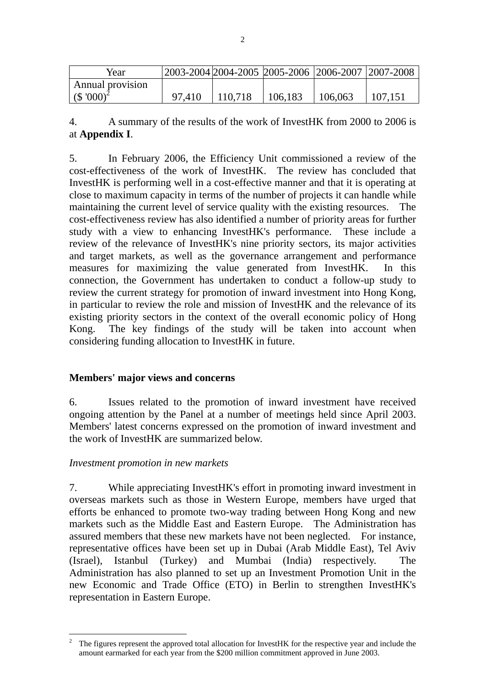| Year                      |        |         |         | 2003-2004 2004-2005 2005-2006 2006-2007 2007-2008 |         |
|---------------------------|--------|---------|---------|---------------------------------------------------|---------|
| Annual provision          |        |         |         |                                                   |         |
| $($ \$ '000) <sup>2</sup> | 97.410 | 110.718 | 106,183 | 106,063                                           | 107.151 |

4. A summary of the results of the work of InvestHK from 2000 to 2006 is at **Appendix I**.

5. In February 2006, the Efficiency Unit commissioned a review of the cost-effectiveness of the work of InvestHK. The review has concluded that InvestHK is performing well in a cost-effective manner and that it is operating at close to maximum capacity in terms of the number of projects it can handle while maintaining the current level of service quality with the existing resources. The cost-effectiveness review has also identified a number of priority areas for further study with a view to enhancing InvestHK's performance. These include a review of the relevance of InvestHK's nine priority sectors, its major activities and target markets, as well as the governance arrangement and performance measures for maximizing the value generated from InvestHK. In this connection, the Government has undertaken to conduct a follow-up study to review the current strategy for promotion of inward investment into Hong Kong, in particular to review the role and mission of InvestHK and the relevance of its existing priority sectors in the context of the overall economic policy of Hong Kong. The key findings of the study will be taken into account when considering funding allocation to InvestHK in future.

## **Members' major views and concerns**

6. Issues related to the promotion of inward investment have received ongoing attention by the Panel at a number of meetings held since April 2003. Members' latest concerns expressed on the promotion of inward investment and the work of InvestHK are summarized below.

## *Investment promotion in new markets*

 $\overline{a}$ 

7. While appreciating InvestHK's effort in promoting inward investment in overseas markets such as those in Western Europe, members have urged that efforts be enhanced to promote two-way trading between Hong Kong and new markets such as the Middle East and Eastern Europe. The Administration has assured members that these new markets have not been neglected. For instance, representative offices have been set up in Dubai (Arab Middle East), Tel Aviv (Israel), Istanbul (Turkey) and Mumbai (India) respectively. The Administration has also planned to set up an Investment Promotion Unit in the new Economic and Trade Office (ETO) in Berlin to strengthen InvestHK's representation in Eastern Europe.

<sup>2</sup> The figures represent the approved total allocation for InvestHK for the respective year and include the amount earmarked for each year from the \$200 million commitment approved in June 2003.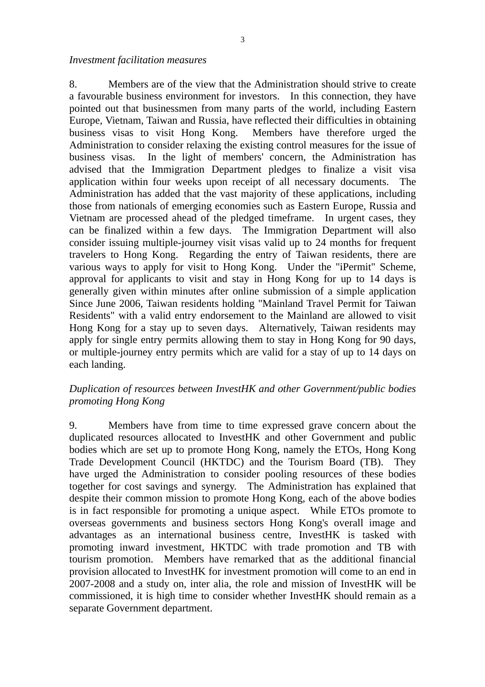*Investment facilitation measures* 

8. Members are of the view that the Administration should strive to create a favourable business environment for investors. In this connection, they have pointed out that businessmen from many parts of the world, including Eastern Europe, Vietnam, Taiwan and Russia, have reflected their difficulties in obtaining business visas to visit Hong Kong. Members have therefore urged the Administration to consider relaxing the existing control measures for the issue of business visas. In the light of members' concern, the Administration has advised that the Immigration Department pledges to finalize a visit visa application within four weeks upon receipt of all necessary documents. The Administration has added that the vast majority of these applications, including those from nationals of emerging economies such as Eastern Europe, Russia and Vietnam are processed ahead of the pledged timeframe. In urgent cases, they can be finalized within a few days. The Immigration Department will also consider issuing multiple-journey visit visas valid up to 24 months for frequent travelers to Hong Kong. Regarding the entry of Taiwan residents, there are various ways to apply for visit to Hong Kong. Under the "iPermit" Scheme, approval for applicants to visit and stay in Hong Kong for up to 14 days is generally given within minutes after online submission of a simple application Since June 2006, Taiwan residents holding "Mainland Travel Permit for Taiwan Residents" with a valid entry endorsement to the Mainland are allowed to visit Hong Kong for a stay up to seven days. Alternatively, Taiwan residents may apply for single entry permits allowing them to stay in Hong Kong for 90 days, or multiple-journey entry permits which are valid for a stay of up to 14 days on each landing.

# *Duplication of resources between InvestHK and other Government/public bodies promoting Hong Kong*

9. Members have from time to time expressed grave concern about the duplicated resources allocated to InvestHK and other Government and public bodies which are set up to promote Hong Kong, namely the ETOs, Hong Kong Trade Development Council (HKTDC) and the Tourism Board (TB). They have urged the Administration to consider pooling resources of these bodies together for cost savings and synergy. The Administration has explained that despite their common mission to promote Hong Kong, each of the above bodies is in fact responsible for promoting a unique aspect. While ETOs promote to overseas governments and business sectors Hong Kong's overall image and advantages as an international business centre, InvestHK is tasked with promoting inward investment, HKTDC with trade promotion and TB with tourism promotion. Members have remarked that as the additional financial provision allocated to InvestHK for investment promotion will come to an end in 2007-2008 and a study on, inter alia, the role and mission of InvestHK will be commissioned, it is high time to consider whether InvestHK should remain as a separate Government department.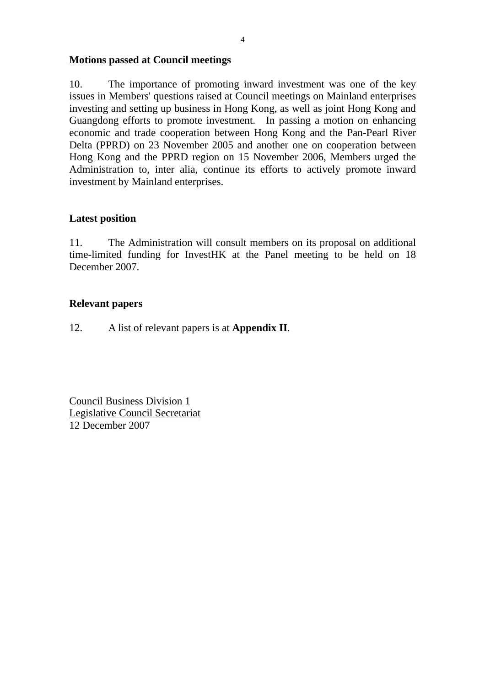# **Motions passed at Council meetings**

10. The importance of promoting inward investment was one of the key issues in Members' questions raised at Council meetings on Mainland enterprises investing and setting up business in Hong Kong, as well as joint Hong Kong and Guangdong efforts to promote investment. In passing a motion on enhancing economic and trade cooperation between Hong Kong and the Pan-Pearl River Delta (PPRD) on 23 November 2005 and another one on cooperation between Hong Kong and the PPRD region on 15 November 2006, Members urged the Administration to, inter alia, continue its efforts to actively promote inward investment by Mainland enterprises.

# **Latest position**

11. The Administration will consult members on its proposal on additional time-limited funding for InvestHK at the Panel meeting to be held on 18 December 2007.

# **Relevant papers**

12. A list of relevant papers is at **Appendix II**.

Council Business Division 1 Legislative Council Secretariat 12 December 2007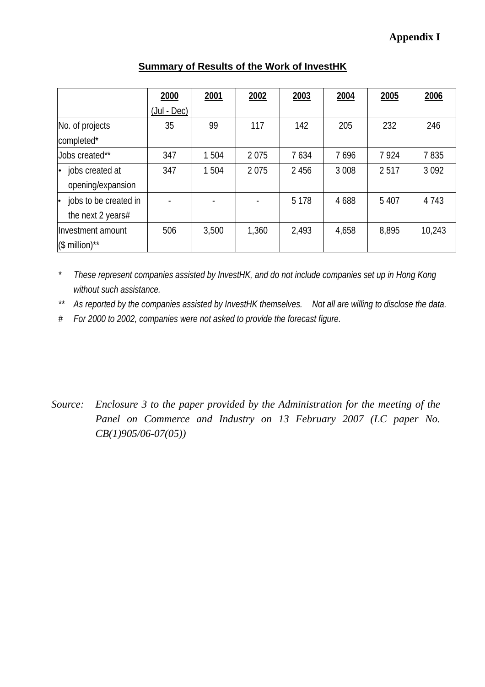|                              | 2000              | 2001  | 2002  | 2003    | 2004    | 2005    | 2006    |
|------------------------------|-------------------|-------|-------|---------|---------|---------|---------|
|                              | $($ Jul - Dec $)$ |       |       |         |         |         |         |
| No. of projects              | 35                | 99    | 117   | 142     | 205     | 232     | 246     |
| completed*                   |                   |       |       |         |         |         |         |
| Jobs created**               | 347               | 1504  | 2075  | 7634    | 7696    | 7924    | 7835    |
| jobs created at<br>$\bullet$ | 347               | 1 504 | 2075  | 2 4 5 6 | 3 0 0 8 | 2517    | 3 0 9 2 |
| opening/expansion            |                   |       |       |         |         |         |         |
| jobs to be created in        |                   |       |       | 5 1 7 8 | 4 6 8 8 | 5 4 0 7 | 4 7 4 3 |
| the next 2 years#            |                   |       |       |         |         |         |         |
| Investment amount            | 506               | 3,500 | 1,360 | 2,493   | 4,658   | 8,895   | 10,243  |
| $($$ million)**              |                   |       |       |         |         |         |         |

# **Summary of Results of the Work of InvestHK**

*\* These represent companies assisted by InvestHK, and do not include companies set up in Hong Kong without such assistance.* 

*\*\* As reported by the companies assisted by InvestHK themselves. Not all are willing to disclose the data.* 

*# For 2000 to 2002, companies were not asked to provide the forecast figure.* 

*Source: Enclosure 3 to the paper provided by the Administration for the meeting of the Panel on Commerce and Industry on 13 February 2007 (LC paper No. CB(1)905/06-07(05))*